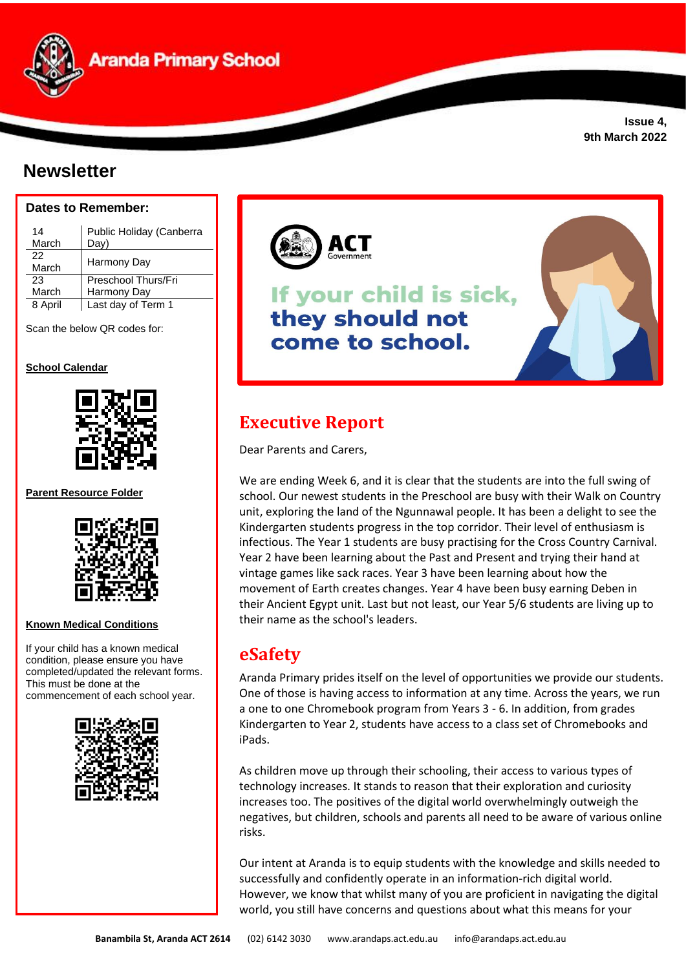**Aranda Primary School** 

# **Newsletter**

### **Dates to Remember:**

| 14<br>March | Public Holiday (Canberra<br>Day) |
|-------------|----------------------------------|
| 22<br>March | Harmony Day                      |
| 23          | Preschool Thurs/Fri              |
| March       | Harmony Day                      |
| 8 April     | Last day of Term 1               |

Scan the below QR codes for:

#### **School Calendar**



**Parent Resource Folder**



#### **Known Medical Conditions**

If your child has a known medical condition, please ensure you have completed/updated the relevant forms. This must be done at the commencement of each school year.





# If your child is sick, they should not come to school.

# **Executive Report**

Dear Parents and Carers,

We are ending Week 6, and it is clear that the students are into the full swing of school. Our newest students in the Preschool are busy with their Walk on Country unit, exploring the land of the Ngunnawal people. It has been a delight to see the Kindergarten students progress in the top corridor. Their level of enthusiasm is infectious. The Year 1 students are busy practising for the Cross Country Carnival. Year 2 have been learning about the Past and Present and trying their hand at vintage games like sack races. Year 3 have been learning about how the movement of Earth creates changes. Year 4 have been busy earning Deben in their Ancient Egypt unit. Last but not least, our Year 5/6 students are living up to their name as the school's leaders.

# **eSafety**

Aranda Primary prides itself on the level of opportunities we provide our students. One of those is having access to information at any time. Across the years, we run a one to one Chromebook program from Years 3 - 6. In addition, from grades Kindergarten to Year 2, students have access to a class set of Chromebooks and iPads.

As children move up through their schooling, their access to various types of technology increases. It stands to reason that their exploration and curiosity increases too. The positives of the digital world overwhelmingly outweigh the negatives, but children, schools and parents all need to be aware of various online risks.

Our intent at Aranda is to equip students with the knowledge and skills needed to successfully and confidently operate in an information-rich digital world. However, we know that whilst many of you are proficient in navigating the digital world, you still have concerns and questions about what this means for your

**Issue 4, 9th March 2022**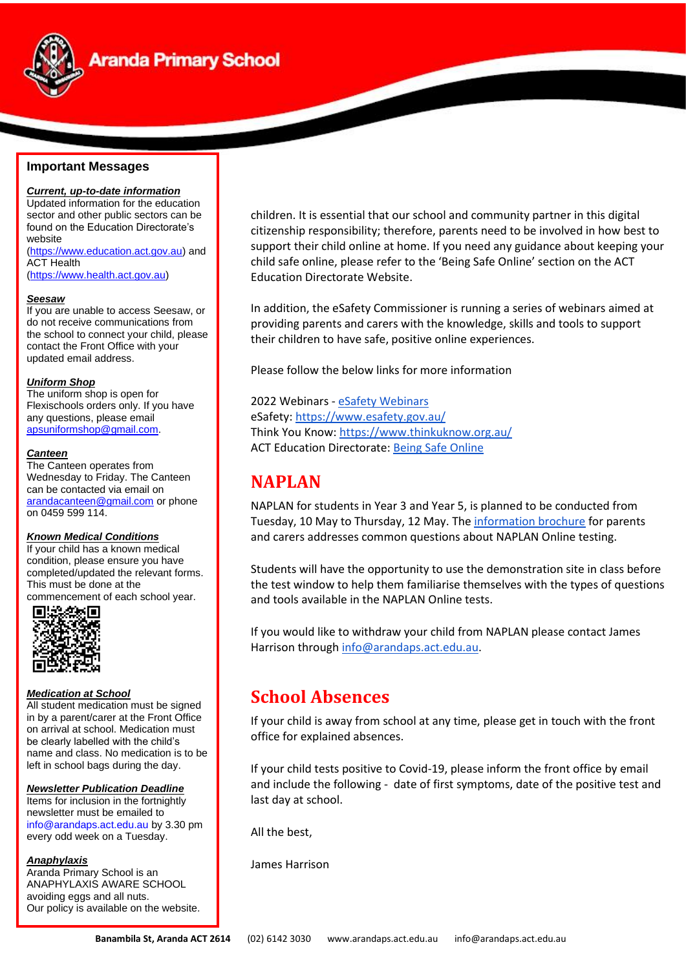

# **Aranda Primary School**

#### **Important Messages**

*Current, up-to-date information* Updated information for the education sector and other public sectors can be found on the Education Directorate's website [\(https://www.education.act.gov.au\)](https://www.education.act.gov.au/) and ACT Health

[\(https://www.health.act.gov.au\)](https://www.health.act.gov.au/)

#### *Seesaw*

If you are unable to access Seesaw, or do not receive communications from the school to connect your child, please contact the Front Office with your updated email address.

#### *Uniform Shop*

The uniform shop is open for Flexischools orders only. If you have any questions, please email [apsuniformshop@gmail.com.](mailto:apsuniformshop@gmail.com)

#### *Canteen*

The Canteen operates from Wednesday to Friday. The Canteen can be contacted via email on [arandacanteen@gmail.com](mailto:arandacanteen@gmail.com) or phone on 0459 599 114.

#### *Known Medical Conditions*

If your child has a known medical condition, please ensure you have completed/updated the relevant forms. This must be done at the

commencement of each school year.<br> **■监察官** 



#### *Medication at School*

All student medication must be signed in by a parent/carer at the Front Office on arrival at school. Medication must be clearly labelled with the child's name and class. No medication is to be left in school bags during the day.

#### *Newsletter Publication Deadline*

Items for inclusion in the fortnightly newsletter must be emailed to [info@arandaps.act.edu.au](mailto:info@arandaps.act.edu.au) by 3.30 pm every odd week on a Tuesday.

#### *Anaphylaxis*

Aranda Primary School is an ANAPHYLAXIS AWARE SCHOOL avoiding eggs and all nuts. Our policy is available on the website. children. It is essential that our school and community partner in this digital citizenship responsibility; therefore, parents need to be involved in how best to support their child online at home. If you need any guidance about keeping your child safe online, please refer to the 'Being Safe Online' section on the ACT Education Directorate Website.

In addition, the eSafety Commissioner is running a series of webinars aimed at providing parents and carers with the knowledge, skills and tools to support their children to have safe, positive online experiences.

Please follow the below links for more information

#### 2022 Webinars - [eSafety Webinars](https://drive.google.com/file/d/1fBtEqX7zwmo0c7bp3TUfB2eoocTrRHeN/view?usp=sharing) eSafety[: https://www.esafety.gov.au/](https://www.esafety.gov.au/) Think You Know[: https://www.thinkuknow.org.au/](https://www.thinkuknow.org.au/) ACT Education Directorate: [Being Safe Online](https://www.education.act.gov.au/support-for-our-students/being-safe-online)

### **NAPLAN**

NAPLAN for students in Year 3 and Year 5, is planned to be conducted from Tuesday, 10 May to Thursday, 12 May. Th[e information brochure](https://drive.google.com/file/d/13ZgG4bOLqlvWCO02AaTJMY-Kae2zm-gt/view?usp=sharing) for parents and carers addresses common questions about NAPLAN Online testing.

Students will have the opportunity to use the demonstration site in class before the test window to help them familiarise themselves with the types of questions and tools available in the NAPLAN Online tests.

If you would like to withdraw your child from NAPLAN please contact James Harrison throug[h info@arandaps.act.edu.au.](mailto:info@arandaps.act.edu.au)

### **School Absences**

If your child is away from school at any time, please get in touch with the front office for explained absences.

If your child tests positive to Covid-19, please inform the front office by email and include the following - date of first symptoms, date of the positive test and last day at school.

All the best,

James Harrison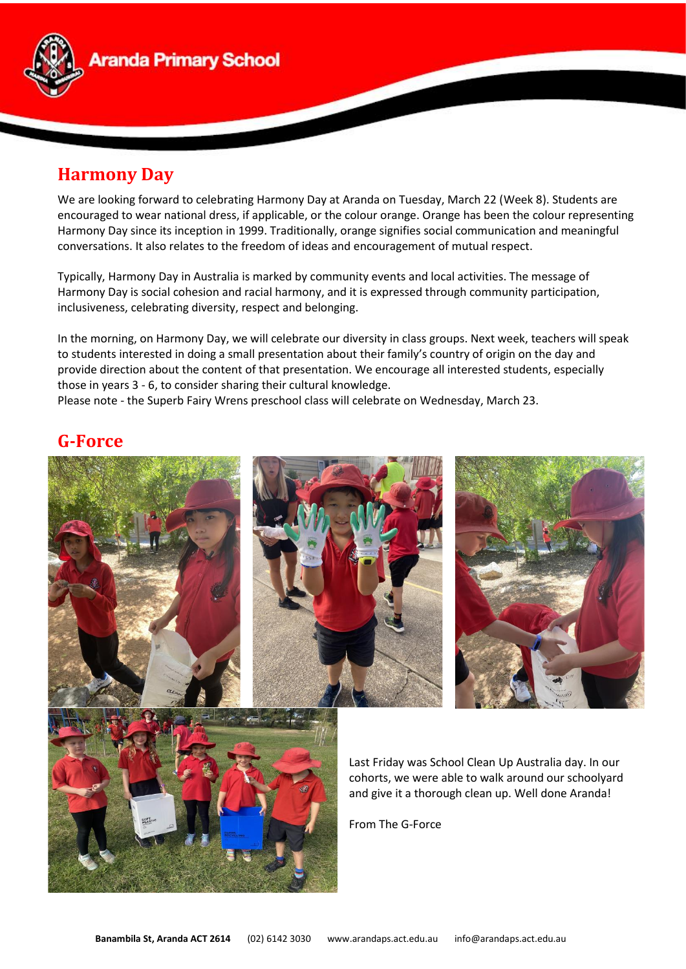

# **Harmony Day**

We are looking forward to celebrating Harmony Day at Aranda on Tuesday, March 22 (Week 8). Students are encouraged to wear national dress, if applicable, or the colour orange. Orange has been the colour representing Harmony Day since its inception in 1999. Traditionally, orange signifies social communication and meaningful conversations. It also relates to the freedom of ideas and encouragement of mutual respect.

Typically, Harmony Day in Australia is marked by community events and local activities. The message of Harmony Day is social cohesion and racial harmony, and it is expressed through community participation, inclusiveness, celebrating diversity, respect and belonging.

In the morning, on Harmony Day, we will celebrate our diversity in class groups. Next week, teachers will speak to students interested in doing a small presentation about their family's country of origin on the day and provide direction about the content of that presentation. We encourage all interested students, especially those in years 3 - 6, to consider sharing their cultural knowledge.

Please note - the Superb Fairy Wrens preschool class will celebrate on Wednesday, March 23.

## **G-Force**

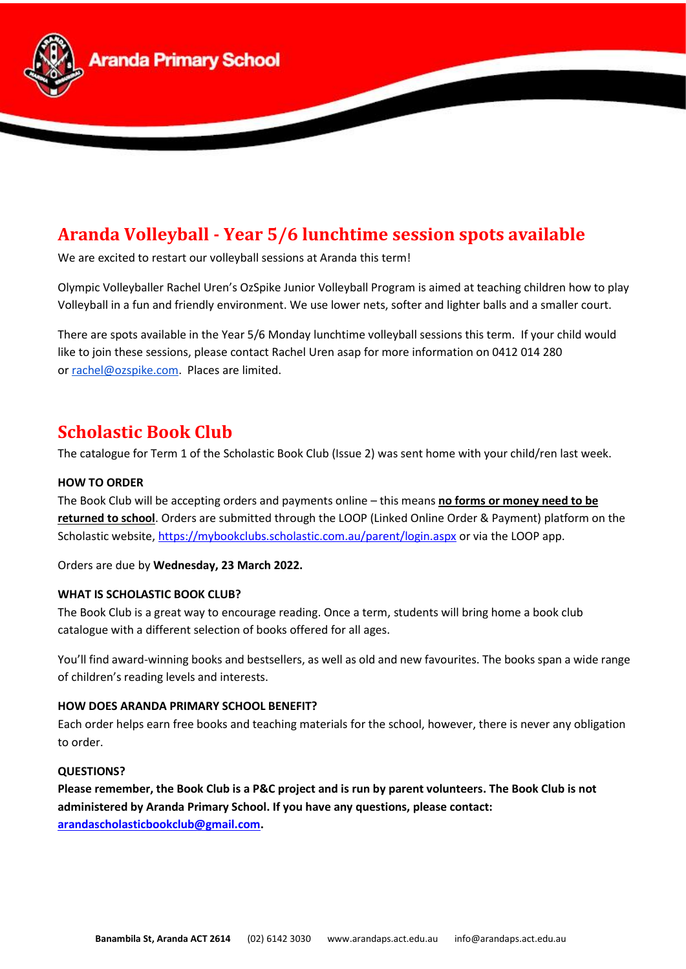

# **Aranda Volleyball - Year 5/6 lunchtime session spots available**

We are excited to restart our volleyball sessions at Aranda this term!

Olympic Volleyballer Rachel Uren's OzSpike Junior Volleyball Program is aimed at teaching children how to play Volleyball in a fun and friendly environment. We use lower nets, softer and lighter balls and a smaller court.

There are spots available in the Year 5/6 Monday lunchtime volleyball sessions this term. If your child would like to join these sessions, please contact Rachel Uren asap for more information on 0412 014 280 or [rachel@ozspike.com.](mailto:rachel@ozspike.com) Places are limited.

# **Scholastic Book Club**

The catalogue for Term 1 of the Scholastic Book Club (Issue 2) was sent home with your child/ren last week.

#### **HOW TO ORDER**

The Book Club will be accepting orders and payments online – this means **no forms or money need to be returned to school**. Orders are submitted through the LOOP (Linked Online Order & Payment) platform on the Scholastic website, [https://mybookclubs.scholastic.com.au/parent/login.aspx](https://aus01.safelinks.protection.outlook.com/?url=https%3A%2F%2Fmybookclubs.scholastic.com.au%2Fparent%2Flogin.aspx&data=04%7C01%7C%7Cf5684eb510904dd774c908d9ffe47073%7Cf1d4a8326c2144759bf48cc7e9044a29%7C0%7C0%7C637822178886413181%7CUnknown%7CTWFpbGZsb3d8eyJWIjoiMC4wLjAwMDAiLCJQIjoiV2luMzIiLCJBTiI6Ik1haWwiLCJXVCI6Mn0%3D%7C3000&sdata=vR%2FMU1V7RKKDmJWzSNf5PezWRcK50EKlGGoq63Jmhak%3D&reserved=0) or via the LOOP app.

Orders are due by **Wednesday, 23 March 2022.**

#### **WHAT IS SCHOLASTIC BOOK CLUB?**

The Book Club is a great way to encourage reading. Once a term, students will bring home a book club catalogue with a different selection of books offered for all ages.

You'll find award-winning books and bestsellers, as well as old and new favourites. The books span a wide range of children's reading levels and interests.

#### **HOW DOES ARANDA PRIMARY SCHOOL BENEFIT?**

Each order helps earn free books and teaching materials for the school, however, there is never any obligation to order.

#### **QUESTIONS?**

**Please remember, the Book Club is a P&C project and is run by parent volunteers. The Book Club is not administered by Aranda Primary School. If you have any questions, please contact: [arandascholasticbookclub@gmail.com.](mailto:arandascholasticbookclub@gmail.com)**